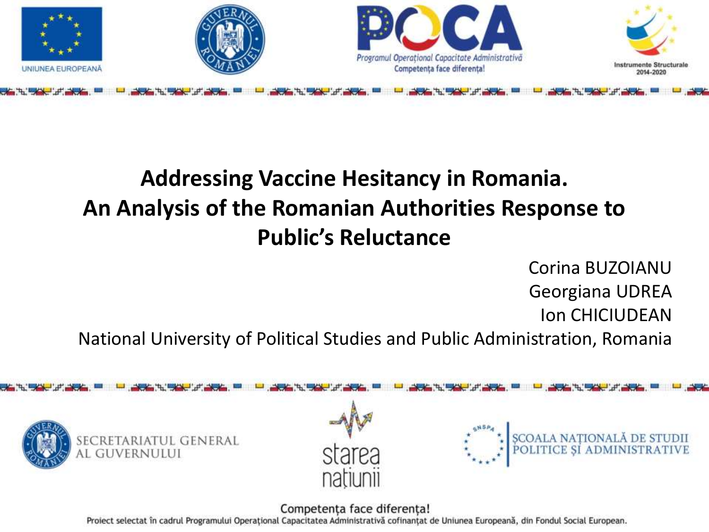

## **Addressing Vaccine Hesitancy in Romania. An Analysis of the Romanian Authorities Response to Public's Reluctance**

Corina BUZOIANU Georgiana UDREA Ion CHICIUDEAN

National University of Political Studies and Public Administration, Romania

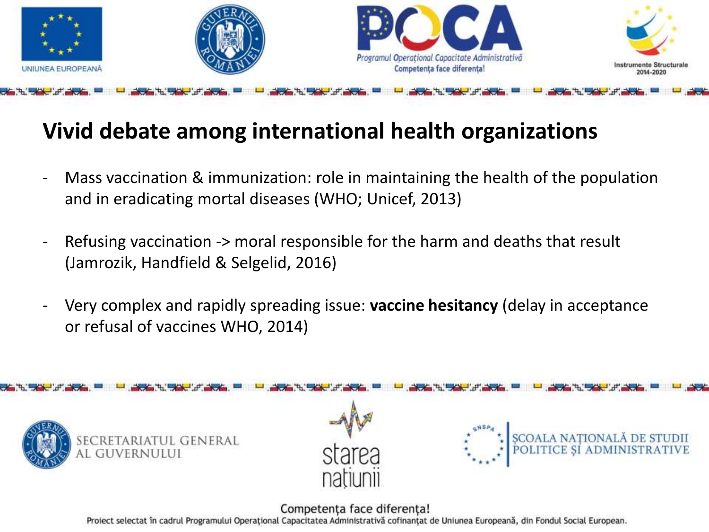

#### **Vivid debate among international health organizations**

- Mass vaccination & immunization: role in maintaining the health of the population and in eradicating mortal diseases (WHO; Unicef, 2013)
- Refusing vaccination -> moral responsible for the harm and deaths that result (Jamrozik, Handfield & Selgelid, 2016)
- Very complex and rapidly spreading issue: **vaccine hesitancy** (delay in acceptance or refusal of vaccines WHO, 2014)

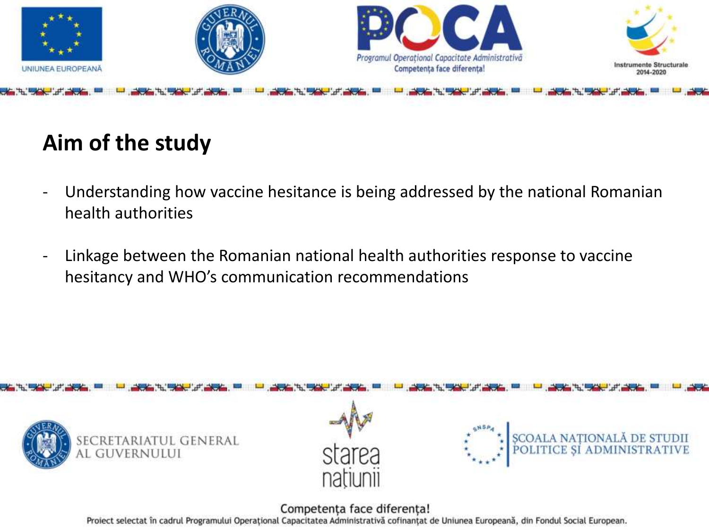

## **Aim of the study**

- Understanding how vaccine hesitance is being addressed by the national Romanian health authorities
- Linkage between the Romanian national health authorities response to vaccine hesitancy and WHO's communication recommendations

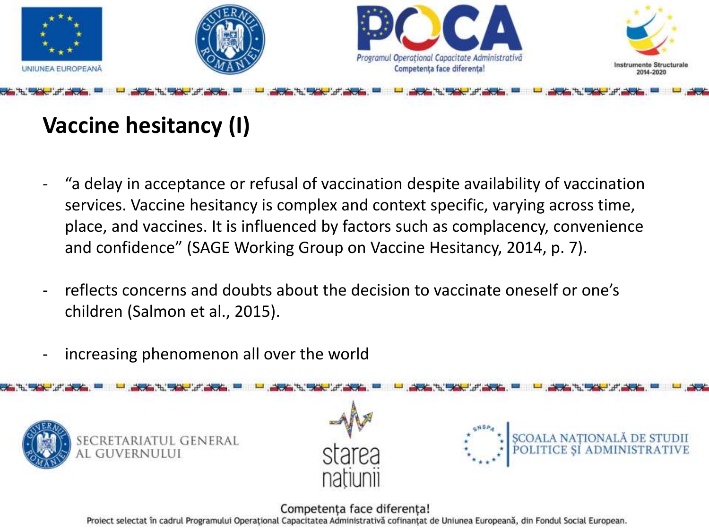

## **Vaccine hesitancy (I)**

- "a delay in acceptance or refusal of vaccination despite availability of vaccination services. Vaccine hesitancy is complex and context specific, varying across time, place, and vaccines. It is influenced by factors such as complacency, convenience and confidence" (SAGE Working Group on Vaccine Hesitancy, 2014, p. 7).
- reflects concerns and doubts about the decision to vaccinate oneself or one's children (Salmon et al., 2015).
- increasing phenomenon all over the world

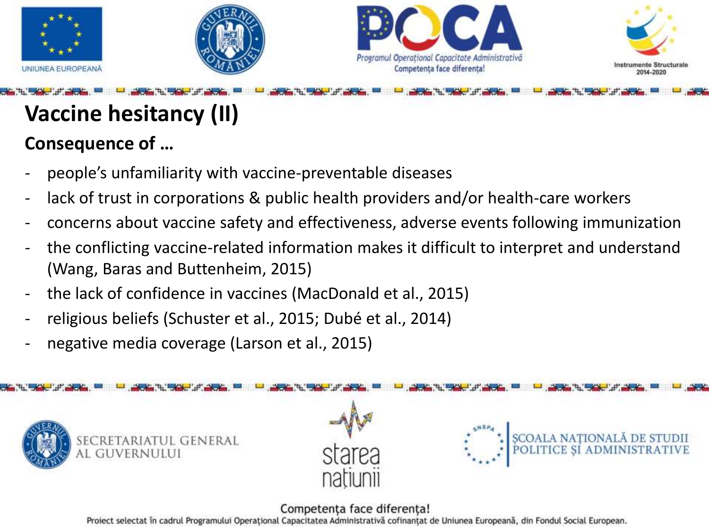







# **Vaccine hesitancy (II)**

### **Consequence of …**

- people's unfamiliarity with vaccine-preventable diseases
- lack of trust in corporations & public health providers and/or health-care workers
- concerns about vaccine safety and effectiveness, adverse events following immunization
- the conflicting vaccine-related information makes it difficult to interpret and understand (Wang, Baras and Buttenheim, 2015)
- the lack of confidence in vaccines (MacDonald et al., 2015)
- religious beliefs (Schuster et al., 2015; Dubé et al., 2014)
- negative media coverage (Larson et al., 2015)

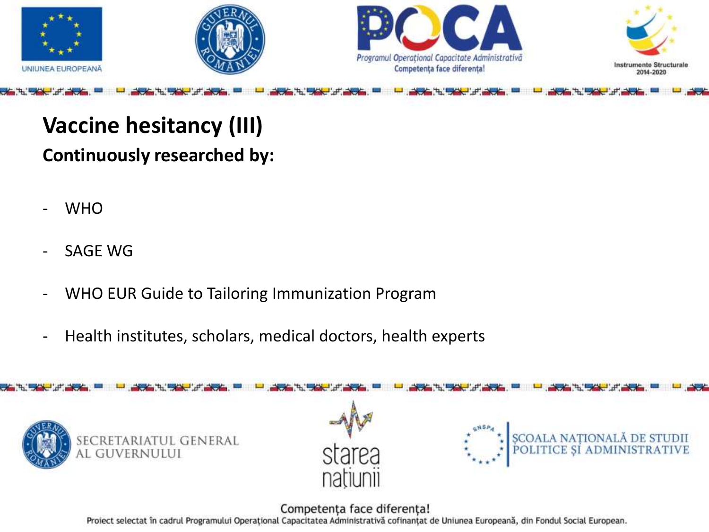

## **Vaccine hesitancy (III) Continuously researched by:**

- WHO
- SAGE WG
- WHO EUR Guide to Tailoring Immunization Program
- Health institutes, scholars, medical doctors, health experts

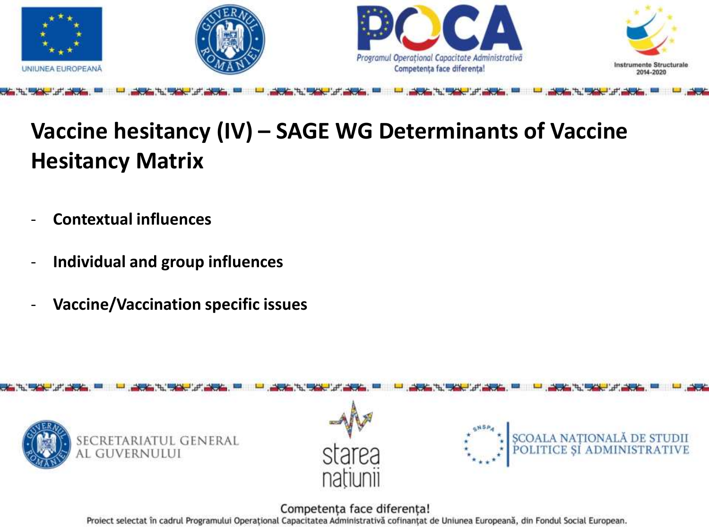

## **Vaccine hesitancy (IV) – SAGE WG Determinants of Vaccine Hesitancy Matrix**

- **Contextual influences**
- **Individual and group influences**
- **Vaccine/Vaccination specific issues**

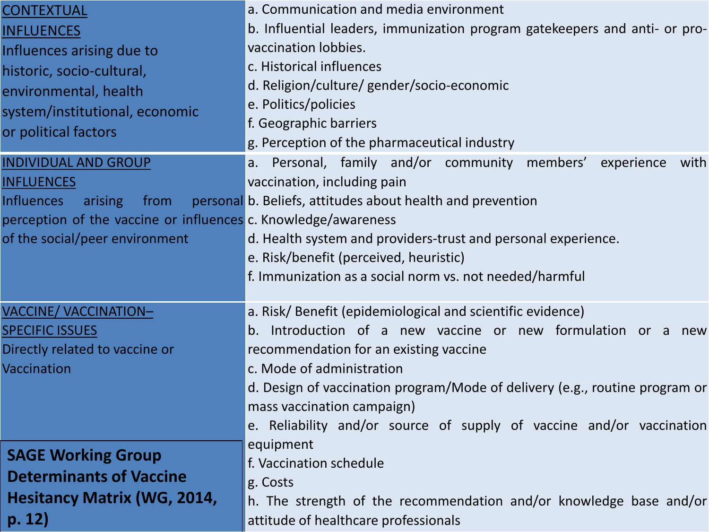| <b>CONTEXTUAL</b>                                              | a. Communication and media environment                                      |
|----------------------------------------------------------------|-----------------------------------------------------------------------------|
| <b>INFLUENCES</b>                                              | b. Influential leaders, immunization program gatekeepers and anti- or pro-  |
| Influences arising due to                                      | vaccination lobbies.                                                        |
| historic, socio-cultural,                                      | c. Historical influences                                                    |
| environmental, health                                          | d. Religion/culture/ gender/socio-economic                                  |
| system/institutional, economic                                 | e. Politics/policies                                                        |
| or political factors                                           | f. Geographic barriers                                                      |
|                                                                | g. Perception of the pharmaceutical industry                                |
| <b>INDIVIDUAL AND GROUP</b>                                    | a. Personal, family and/or community members'<br>experience<br>with         |
| <b>INFLUENCES</b>                                              | vaccination, including pain                                                 |
| <b>Influences</b><br>arising<br>from                           | personal b. Beliefs, attitudes about health and prevention                  |
| perception of the vaccine or influences c. Knowledge/awareness |                                                                             |
| of the social/peer environment                                 | d. Health system and providers-trust and personal experience.               |
|                                                                | e. Risk/benefit (perceived, heuristic)                                      |
|                                                                | f. Immunization as a social norm vs. not needed/harmful                     |
|                                                                |                                                                             |
| <b>VACCINE/ VACCINATION-</b>                                   | a. Risk/ Benefit (epidemiological and scientific evidence)                  |
| <b>SPECIFIC ISSUES</b>                                         | b. Introduction of a new vaccine or new formulation or a new                |
| Directly related to vaccine or                                 | recommendation for an existing vaccine                                      |
| Vaccination                                                    | c. Mode of administration                                                   |
|                                                                | d. Design of vaccination program/Mode of delivery (e.g., routine program or |
|                                                                | mass vaccination campaign)                                                  |
|                                                                | e. Reliability and/or source of supply of vaccine and/or vaccination        |
| <b>SAGE Working Group</b>                                      | equipment                                                                   |
| <b>Determinants of Vaccine</b>                                 | f. Vaccination schedule                                                     |
|                                                                | g. Costs                                                                    |
| <b>Hesitancy Matrix (WG, 2014,</b>                             | h. The strength of the recommendation and/or knowledge base and/or          |
| p. 12)                                                         | attitude of healthcare professionals                                        |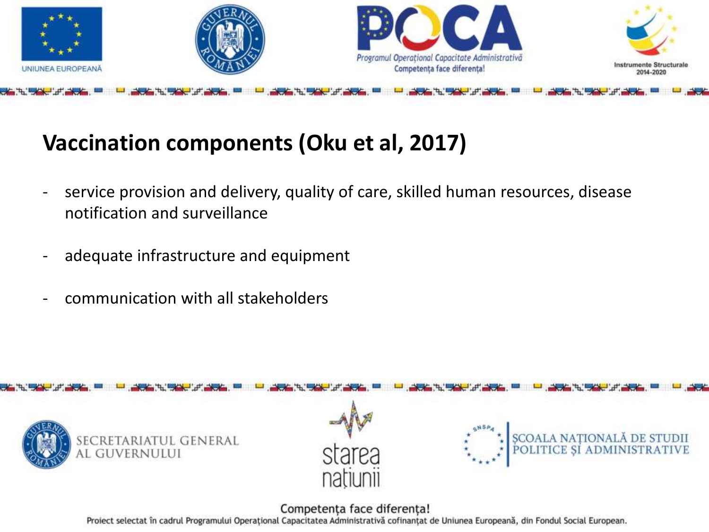

## **Vaccination components (Oku et al, 2017)**

- service provision and delivery, quality of care, skilled human resources, disease notification and surveillance
- adequate infrastructure and equipment
- communication with all stakeholders

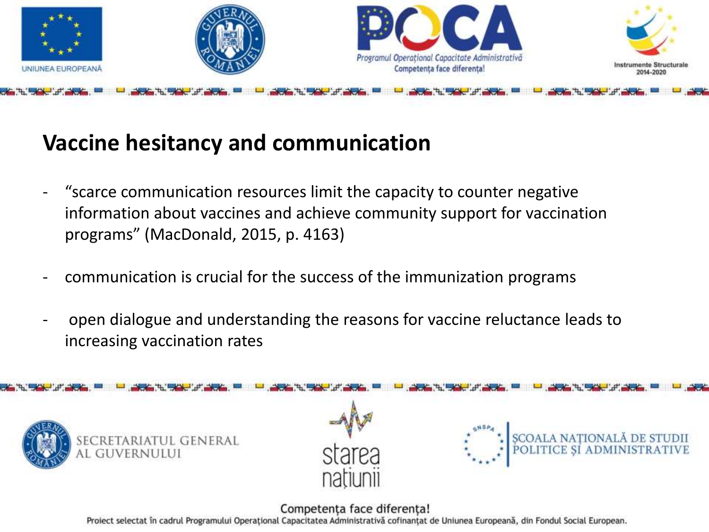

### **Vaccine hesitancy and communication**

- "scarce communication resources limit the capacity to counter negative information about vaccines and achieve community support for vaccination programs" (MacDonald, 2015, p. 4163)
- communication is crucial for the success of the immunization programs
- open dialogue and understanding the reasons for vaccine reluctance leads to increasing vaccination rates

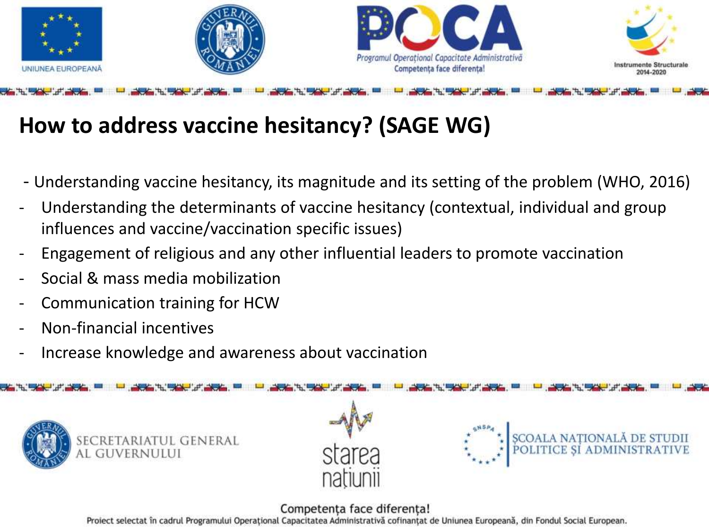

## **How to address vaccine hesitancy? (SAGE WG)**

- Understanding vaccine hesitancy, its magnitude and its setting of the problem (WHO, 2016)
- Understanding the determinants of vaccine hesitancy (contextual, individual and group influences and vaccine/vaccination specific issues)
- Engagement of religious and any other influential leaders to promote vaccination
- Social & mass media mobilization
- Communication training for HCW
- Non-financial incentives
- Increase knowledge and awareness about vaccination

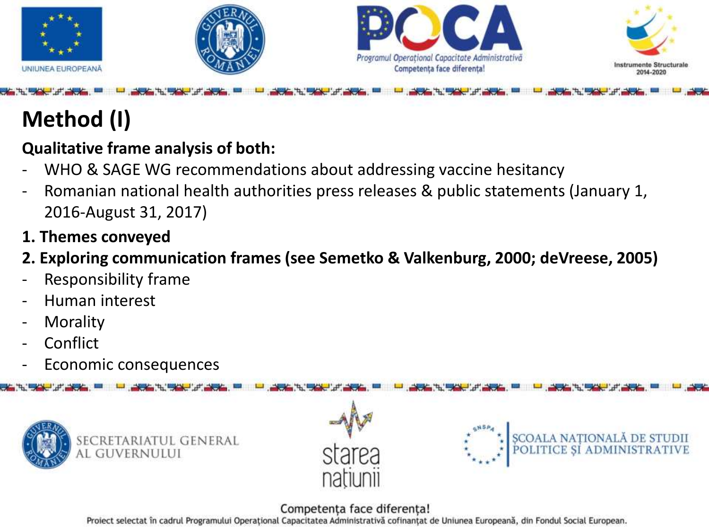

## **Method (I)**

#### **Qualitative frame analysis of both:**

- WHO & SAGE WG recommendations about addressing vaccine hesitancy
- Romanian national health authorities press releases & public statements (January 1, 2016-August 31, 2017)
- **1. Themes conveyed**
- **2. Exploring communication frames (see Semetko & Valkenburg, 2000; deVreese, 2005)**
- Responsibility frame
- Human interest
- **Morality**
- **Conflict**
- Economic consequences



#### Competenta face diferenta!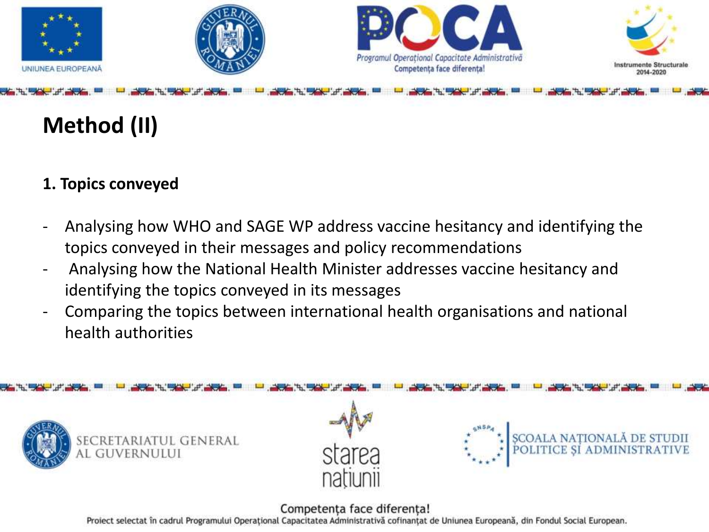

## **Method (II)**

#### **1. Topics conveyed**

- Analysing how WHO and SAGE WP address vaccine hesitancy and identifying the topics conveyed in their messages and policy recommendations
- Analysing how the National Health Minister addresses vaccine hesitancy and identifying the topics conveyed in its messages
- Comparing the topics between international health organisations and national health authorities

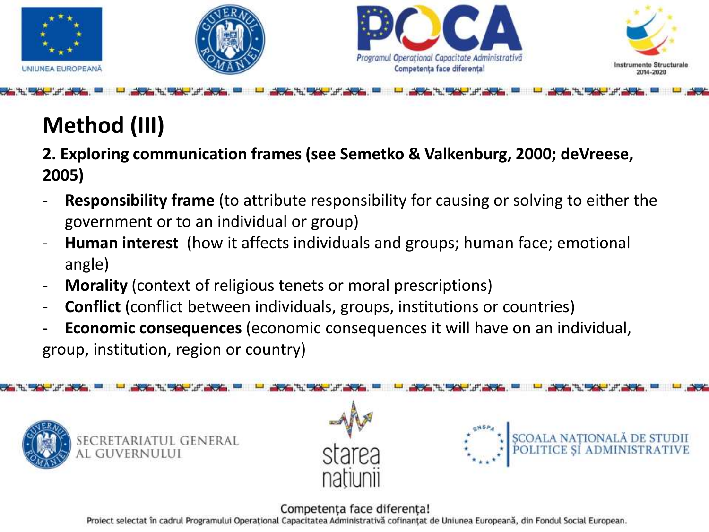

# **Method (III)**

**2. Exploring communication frames (see Semetko & Valkenburg, 2000; deVreese, 2005)**

- **Responsibility frame** (to attribute responsibility for causing or solving to either the government or to an individual or group)
- **Human interest** (how it affects individuals and groups; human face; emotional angle)
- **Morality** (context of religious tenets or moral prescriptions)
- **Conflict** (conflict between individuals, groups, institutions or countries)
- **Economic consequences** (economic consequences it will have on an individual, group, institution, region or country)





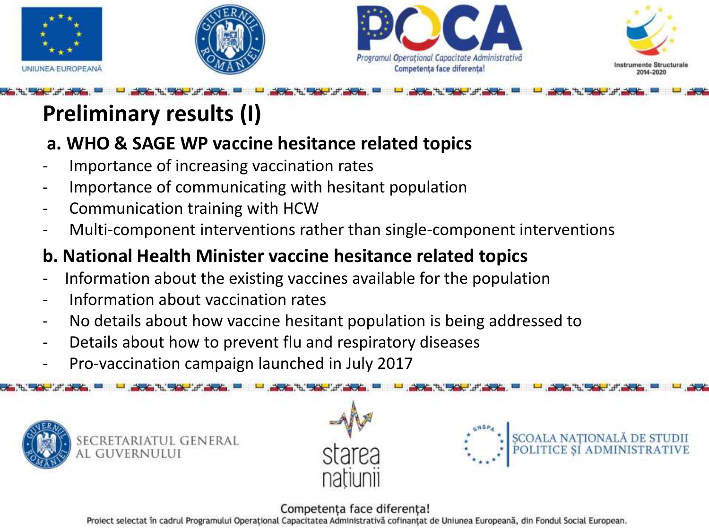







## **Preliminary results (I)**

#### **a. WHO & SAGE WP vaccine hesitance related topics**

- Importance of increasing vaccination rates
- Importance of communicating with hesitant population
- Communication training with HCW
- Multi-component interventions rather than single-component interventions

### **b. National Health Minister vaccine hesitance related topics**

- Information about the existing vaccines available for the population
- Information about vaccination rates
- No details about how vaccine hesitant population is being addressed to
- Details about how to prevent flu and respiratory diseases
- Pro-vaccination campaign launched in July 2017







#### Competenta face diferenta!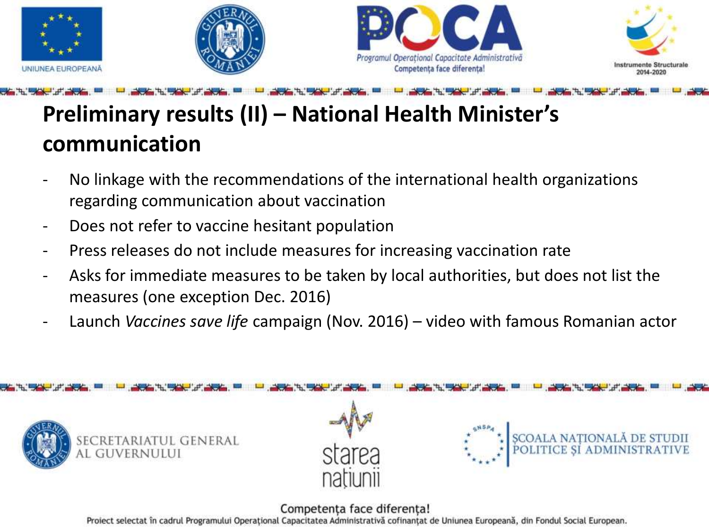







## **Preliminary results (II) – National Health Minister's communication**

- No linkage with the recommendations of the international health organizations regarding communication about vaccination
- Does not refer to vaccine hesitant population
- Press releases do not include measures for increasing vaccination rate
- Asks for immediate measures to be taken by local authorities, but does not list the measures (one exception Dec. 2016)
- Launch *Vaccines save life* campaign (Nov. 2016) video with famous Romanian actor

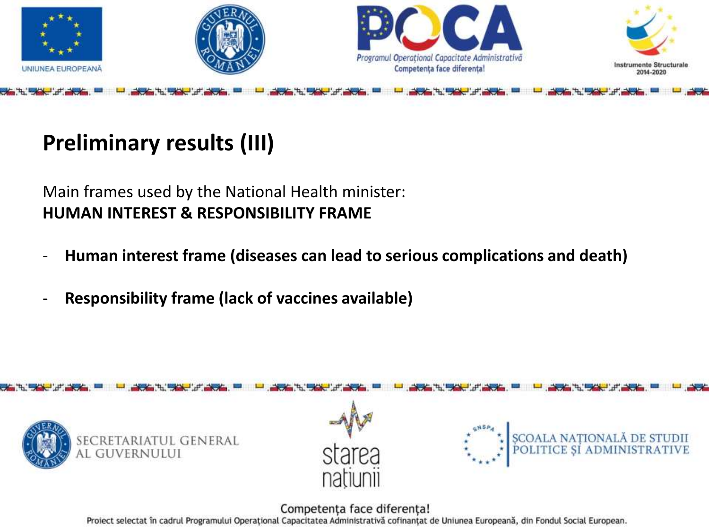

## **Preliminary results (III)**

Main frames used by the National Health minister: **HUMAN INTEREST & RESPONSIBILITY FRAME**

- **Human interest frame (diseases can lead to serious complications and death)**
- **Responsibility frame (lack of vaccines available)**

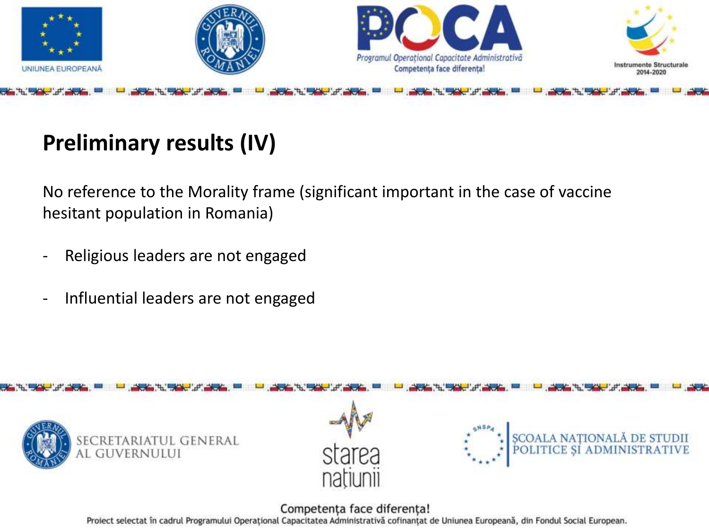

## **Preliminary results (IV)**

No reference to the Morality frame (significant important in the case of vaccine hesitant population in Romania)

- Religious leaders are not engaged
- Influential leaders are not engaged

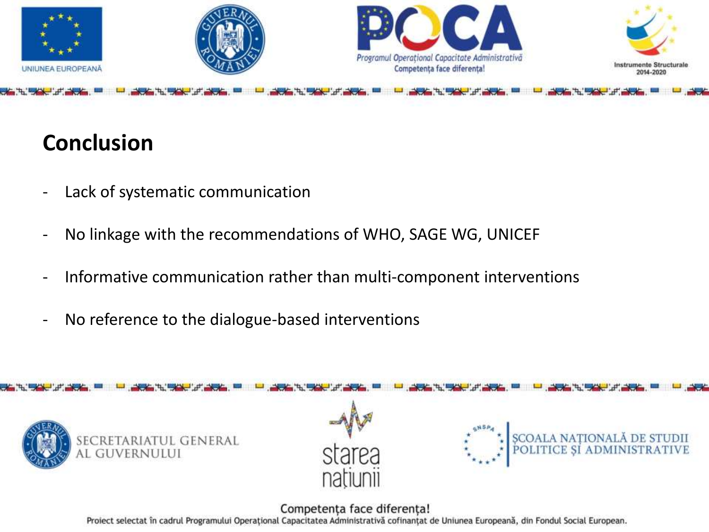

## **Conclusion**

- Lack of systematic communication
- No linkage with the recommendations of WHO, SAGE WG, UNICEF
- Informative communication rather than multi-component interventions
- No reference to the dialogue-based interventions